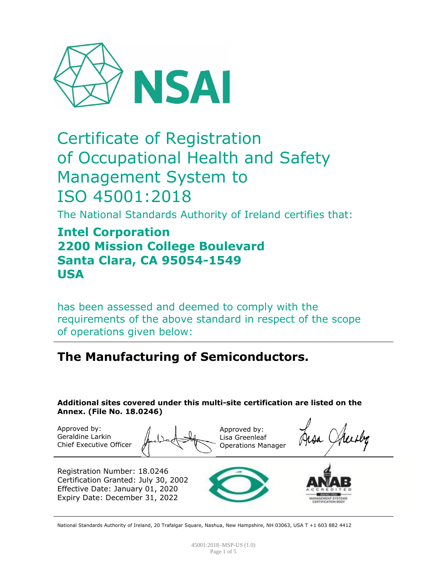

# Certificate of Registration of Occupational Health and Safety Management System to ISO 45001:2018

The National Standards Authority of Ireland certifies that:

# **Intel Corporation 2200 Mission College Boulevard Santa Clara, CA 95054-1549 USA**

has been assessed and deemed to comply with the requirements of the above standard in respect of the scope of operations given below:

# **The Manufacturing of Semiconductors.**

**Additional sites covered under this multi-site certification are listed on the Annex. (File No. 18.0246)**

Approved by: Geraldine Larkin Chief Executive Officer

Approved by: Lisa Greenleaf Operations Manager

Registration Number: 18.0246 Certification Granted: July 30, 2002 Effective Date: January 01, 2020 Expiry Date: December 31, 2022





National Standards Authority of Ireland, 20 Trafalgar Square, Nashua, New Hampshire, NH 03063, USA T +1 603 882 4412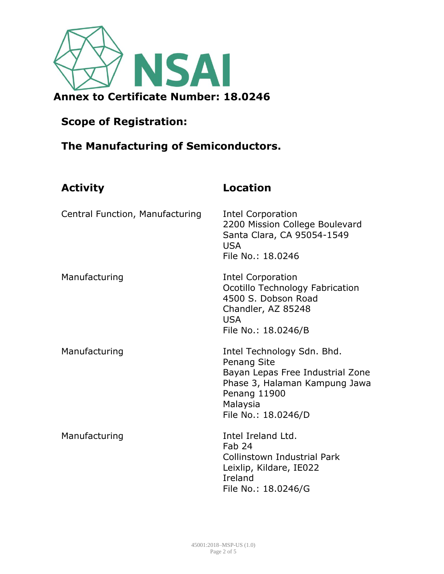

# **The Manufacturing of Semiconductors.**

| <b>Activity</b>                 | <b>Location</b>                                                                                                                                                   |
|---------------------------------|-------------------------------------------------------------------------------------------------------------------------------------------------------------------|
| Central Function, Manufacturing | <b>Intel Corporation</b><br>2200 Mission College Boulevard<br>Santa Clara, CA 95054-1549<br><b>USA</b><br>File No.: 18.0246                                       |
| Manufacturing                   | <b>Intel Corporation</b><br>Ocotillo Technology Fabrication<br>4500 S. Dobson Road<br>Chandler, AZ 85248<br><b>USA</b><br>File No.: 18.0246/B                     |
| Manufacturing                   | Intel Technology Sdn. Bhd.<br>Penang Site<br>Bayan Lepas Free Industrial Zone<br>Phase 3, Halaman Kampung Jawa<br>Penang 11900<br>Malaysia<br>File No.: 18.0246/D |
| Manufacturing                   | Intel Ireland Ltd.<br>Fab 24<br>Collinstown Industrial Park<br>Leixlip, Kildare, IE022<br>Ireland<br>File No.: 18.0246/G                                          |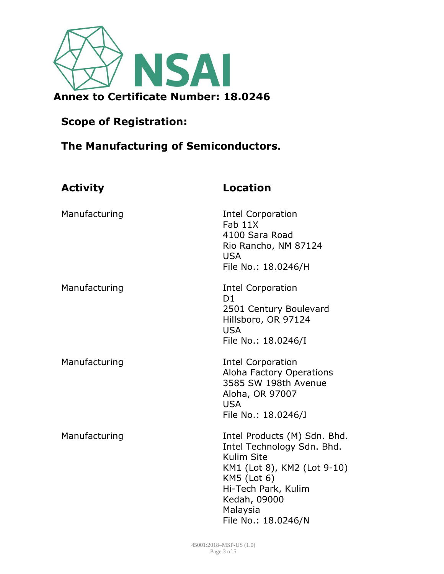

# **The Manufacturing of Semiconductors.**

| <b>Activity</b> | <b>Location</b>                                                                                                                                                                                  |
|-----------------|--------------------------------------------------------------------------------------------------------------------------------------------------------------------------------------------------|
| Manufacturing   | <b>Intel Corporation</b><br>Fab 11X<br>4100 Sara Road<br>Rio Rancho, NM 87124<br><b>USA</b><br>File No.: 18.0246/H                                                                               |
| Manufacturing   | <b>Intel Corporation</b><br>D <sub>1</sub><br>2501 Century Boulevard<br>Hillsboro, OR 97124<br><b>USA</b><br>File No.: 18.0246/I                                                                 |
| Manufacturing   | <b>Intel Corporation</b><br>Aloha Factory Operations<br>3585 SW 198th Avenue<br>Aloha, OR 97007<br><b>USA</b><br>File No.: 18.0246/J                                                             |
| Manufacturing   | Intel Products (M) Sdn. Bhd.<br>Intel Technology Sdn. Bhd.<br>Kulim Site<br>KM1 (Lot 8), KM2 (Lot 9-10)<br>KM5 (Lot 6)<br>Hi-Tech Park, Kulim<br>Kedah, 09000<br>Malaysia<br>File No.: 18.0246/N |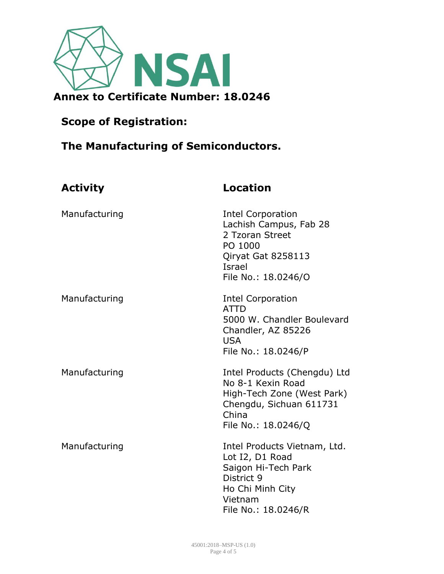

# **The Manufacturing of Semiconductors.**

| <b>Activity</b> | <b>Location</b>                                                                                                                            |
|-----------------|--------------------------------------------------------------------------------------------------------------------------------------------|
| Manufacturing   | <b>Intel Corporation</b><br>Lachish Campus, Fab 28<br>2 Tzoran Street<br>PO 1000<br>Qiryat Gat 8258113<br>Israel<br>File No.: 18.0246/O    |
| Manufacturing   | <b>Intel Corporation</b><br><b>ATTD</b><br>5000 W. Chandler Boulevard<br>Chandler, AZ 85226<br><b>USA</b><br>File No.: 18.0246/P           |
| Manufacturing   | Intel Products (Chengdu) Ltd<br>No 8-1 Kexin Road<br>High-Tech Zone (West Park)<br>Chengdu, Sichuan 611731<br>China<br>File No.: 18.0246/Q |
| Manufacturing   | Intel Products Vietnam, Ltd.<br>Lot I2, D1 Road<br>Saigon Hi-Tech Park<br>District 9<br>Ho Chi Minh City<br>Vietnam<br>File No.: 18.0246/R |